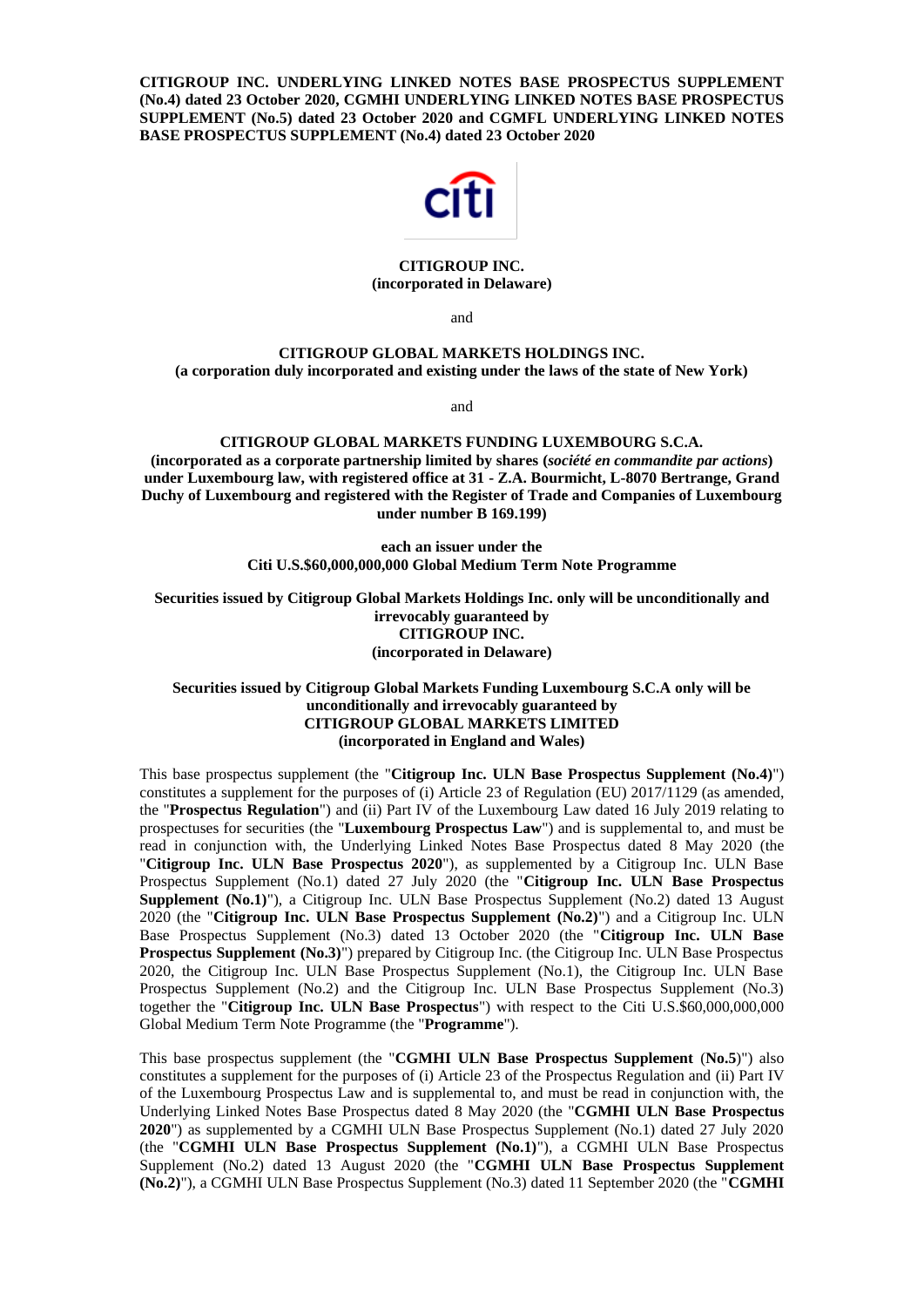**CITIGROUP INC. UNDERLYING LINKED NOTES BASE PROSPECTUS SUPPLEMENT (No.4) dated 23 October 2020, CGMHI UNDERLYING LINKED NOTES BASE PROSPECTUS SUPPLEMENT (No.5) dated 23 October 2020 and CGMFL UNDERLYING LINKED NOTES BASE PROSPECTUS SUPPLEMENT (No.4) dated 23 October 2020**



## **CITIGROUP INC. (incorporated in Delaware)**

and

## **CITIGROUP GLOBAL MARKETS HOLDINGS INC. (a corporation duly incorporated and existing under the laws of the state of New York)**

and

**CITIGROUP GLOBAL MARKETS FUNDING LUXEMBOURG S.C.A. (incorporated as a corporate partnership limited by shares (***société en commandite par actions***) under Luxembourg law, with registered office at 31 - Z.A. Bourmicht, L-8070 Bertrange, Grand Duchy of Luxembourg and registered with the Register of Trade and Companies of Luxembourg under number B 169.199)**

> **each an issuer under the Citi U.S.\$60,000,000,000 Global Medium Term Note Programme**

**Securities issued by Citigroup Global Markets Holdings Inc. only will be unconditionally and irrevocably guaranteed by CITIGROUP INC. (incorporated in Delaware)**

## **Securities issued by Citigroup Global Markets Funding Luxembourg S.C.A only will be unconditionally and irrevocably guaranteed by CITIGROUP GLOBAL MARKETS LIMITED (incorporated in England and Wales)**

This base prospectus supplement (the "**Citigroup Inc. ULN Base Prospectus Supplement (No.4)**") constitutes a supplement for the purposes of (i) Article 23 of Regulation (EU) 2017/1129 (as amended, the "**Prospectus Regulation**") and (ii) Part IV of the Luxembourg Law dated 16 July 2019 relating to prospectuses for securities (the "**Luxembourg Prospectus Law**") and is supplemental to, and must be read in conjunction with, the Underlying Linked Notes Base Prospectus dated 8 May 2020 (the "**Citigroup Inc. ULN Base Prospectus 2020**"), as supplemented by a Citigroup Inc. ULN Base Prospectus Supplement (No.1) dated 27 July 2020 (the "**Citigroup Inc. ULN Base Prospectus Supplement (No.1)**"), a Citigroup Inc. ULN Base Prospectus Supplement (No.2) dated 13 August 2020 (the "**Citigroup Inc. ULN Base Prospectus Supplement (No.2)**") and a Citigroup Inc. ULN Base Prospectus Supplement (No.3) dated 13 October 2020 (the "**Citigroup Inc. ULN Base Prospectus Supplement (No.3)")** prepared by Citigroup Inc. (the Citigroup Inc. ULN Base Prospectus 2020, the Citigroup Inc. ULN Base Prospectus Supplement (No.1), the Citigroup Inc. ULN Base Prospectus Supplement (No.2) and the Citigroup Inc. ULN Base Prospectus Supplement (No.3) together the "**Citigroup Inc. ULN Base Prospectus**") with respect to the Citi U.S.\$60,000,000,000 Global Medium Term Note Programme (the "**Programme**").

This base prospectus supplement (the "**CGMHI ULN Base Prospectus Supplement** (**No.5**)") also constitutes a supplement for the purposes of (i) Article 23 of the Prospectus Regulation and (ii) Part IV of the Luxembourg Prospectus Law and is supplemental to, and must be read in conjunction with, the Underlying Linked Notes Base Prospectus dated 8 May 2020 (the "**CGMHI ULN Base Prospectus 2020**") as supplemented by a CGMHI ULN Base Prospectus Supplement (No.1) dated 27 July 2020 (the "**CGMHI ULN Base Prospectus Supplement (No.1)**"), a CGMHI ULN Base Prospectus Supplement (No.2) dated 13 August 2020 (the "**CGMHI ULN Base Prospectus Supplement (No.2)**"), a CGMHI ULN Base Prospectus Supplement (No.3) dated 11 September 2020 (the "**CGMHI**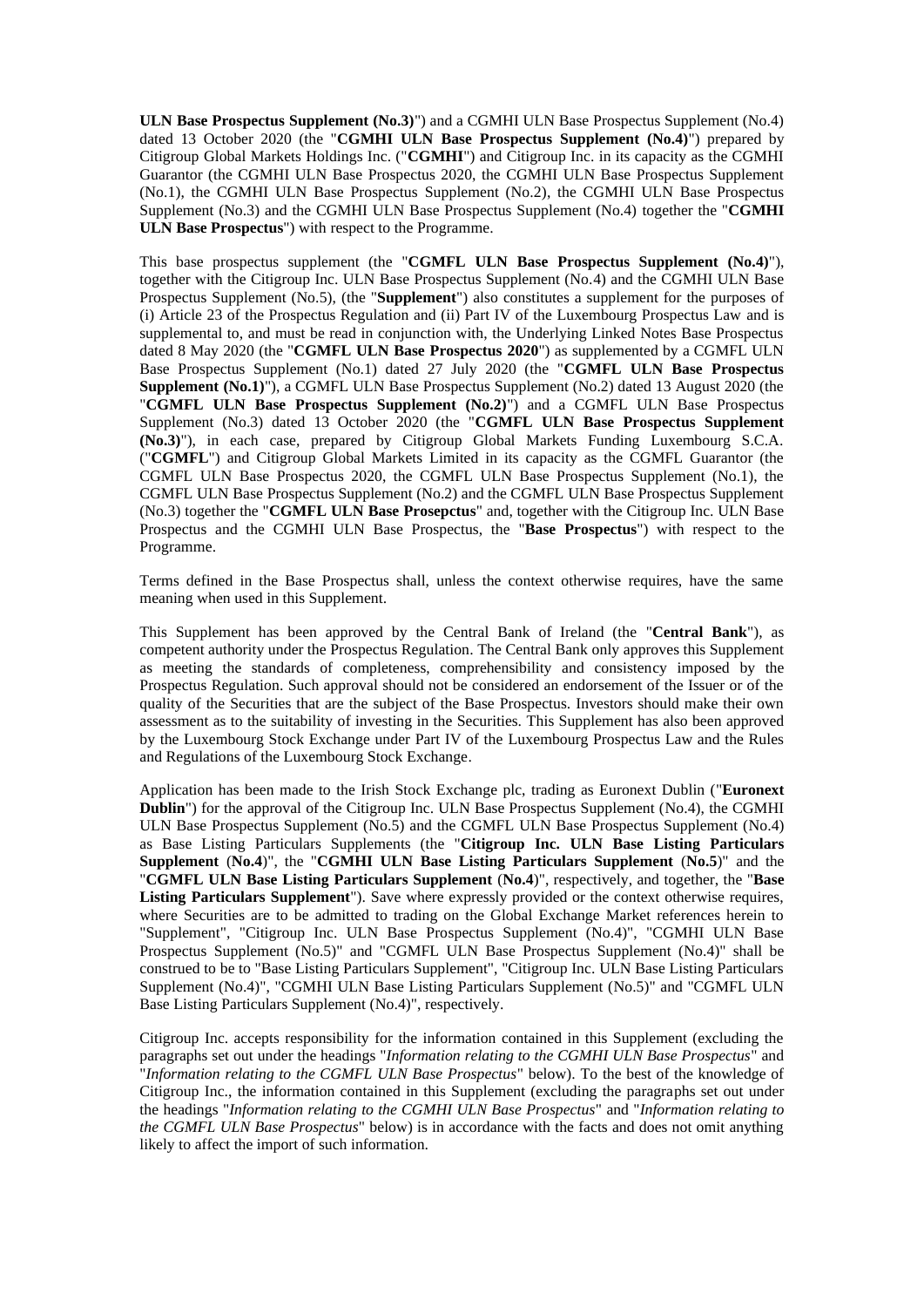**ULN Base Prospectus Supplement (No.3)**") and a CGMHI ULN Base Prospectus Supplement (No.4) dated 13 October 2020 (the "**CGMHI ULN Base Prospectus Supplement (No.4)**") prepared by Citigroup Global Markets Holdings Inc. ("**CGMHI**") and Citigroup Inc. in its capacity as the CGMHI Guarantor (the CGMHI ULN Base Prospectus 2020, the CGMHI ULN Base Prospectus Supplement (No.1), the CGMHI ULN Base Prospectus Supplement (No.2), the CGMHI ULN Base Prospectus Supplement (No.3) and the CGMHI ULN Base Prospectus Supplement (No.4) together the "**CGMHI ULN Base Prospectus**") with respect to the Programme.

This base prospectus supplement (the "**CGMFL ULN Base Prospectus Supplement (No.4)**"), together with the Citigroup Inc. ULN Base Prospectus Supplement (No.4) and the CGMHI ULN Base Prospectus Supplement (No.5), (the "**Supplement**") also constitutes a supplement for the purposes of (i) Article 23 of the Prospectus Regulation and (ii) Part IV of the Luxembourg Prospectus Law and is supplemental to, and must be read in conjunction with, the Underlying Linked Notes Base Prospectus dated 8 May 2020 (the "**CGMFL ULN Base Prospectus 2020**") as supplemented by a CGMFL ULN Base Prospectus Supplement (No.1) dated 27 July 2020 (the "**CGMFL ULN Base Prospectus Supplement (No.1)**"), a CGMFL ULN Base Prospectus Supplement (No.2) dated 13 August 2020 (the "**CGMFL ULN Base Prospectus Supplement (No.2)**") and a CGMFL ULN Base Prospectus Supplement (No.3) dated 13 October 2020 (the "**CGMFL ULN Base Prospectus Supplement (No.3)**"), in each case, prepared by Citigroup Global Markets Funding Luxembourg S.C.A. ("**CGMFL**") and Citigroup Global Markets Limited in its capacity as the CGMFL Guarantor (the CGMFL ULN Base Prospectus 2020, the CGMFL ULN Base Prospectus Supplement (No.1), the CGMFL ULN Base Prospectus Supplement (No.2) and the CGMFL ULN Base Prospectus Supplement (No.3) together the "**CGMFL ULN Base Prosepctus**" and, together with the Citigroup Inc. ULN Base Prospectus and the CGMHI ULN Base Prospectus, the "**Base Prospectus**") with respect to the Programme.

Terms defined in the Base Prospectus shall, unless the context otherwise requires, have the same meaning when used in this Supplement.

This Supplement has been approved by the Central Bank of Ireland (the "**Central Bank**"), as competent authority under the Prospectus Regulation. The Central Bank only approves this Supplement as meeting the standards of completeness, comprehensibility and consistency imposed by the Prospectus Regulation. Such approval should not be considered an endorsement of the Issuer or of the quality of the Securities that are the subject of the Base Prospectus. Investors should make their own assessment as to the suitability of investing in the Securities. This Supplement has also been approved by the Luxembourg Stock Exchange under Part IV of the Luxembourg Prospectus Law and the Rules and Regulations of the Luxembourg Stock Exchange.

Application has been made to the Irish Stock Exchange plc, trading as Euronext Dublin ("**Euronext Dublin**") for the approval of the Citigroup Inc. ULN Base Prospectus Supplement (No.4), the CGMHI ULN Base Prospectus Supplement (No.5) and the CGMFL ULN Base Prospectus Supplement (No.4) as Base Listing Particulars Supplements (the "**Citigroup Inc. ULN Base Listing Particulars Supplement** (**No.4**)", the "**CGMHI ULN Base Listing Particulars Supplement** (**No.5**)" and the "**CGMFL ULN Base Listing Particulars Supplement** (**No.4**)", respectively, and together, the "**Base Listing Particulars Supplement**"). Save where expressly provided or the context otherwise requires, where Securities are to be admitted to trading on the Global Exchange Market references herein to "Supplement", "Citigroup Inc. ULN Base Prospectus Supplement (No.4)", "CGMHI ULN Base Prospectus Supplement (No.5)" and "CGMFL ULN Base Prospectus Supplement (No.4)" shall be construed to be to "Base Listing Particulars Supplement", "Citigroup Inc. ULN Base Listing Particulars Supplement (No.4)", "CGMHI ULN Base Listing Particulars Supplement (No.5)" and "CGMFL ULN Base Listing Particulars Supplement (No.4)", respectively.

Citigroup Inc. accepts responsibility for the information contained in this Supplement (excluding the paragraphs set out under the headings "*Information relating to the CGMHI ULN Base Prospectus*" and "*Information relating to the CGMFL ULN Base Prospectus*" below). To the best of the knowledge of Citigroup Inc., the information contained in this Supplement (excluding the paragraphs set out under the headings "*Information relating to the CGMHI ULN Base Prospectus*" and "*Information relating to the CGMFL ULN Base Prospectus*" below) is in accordance with the facts and does not omit anything likely to affect the import of such information.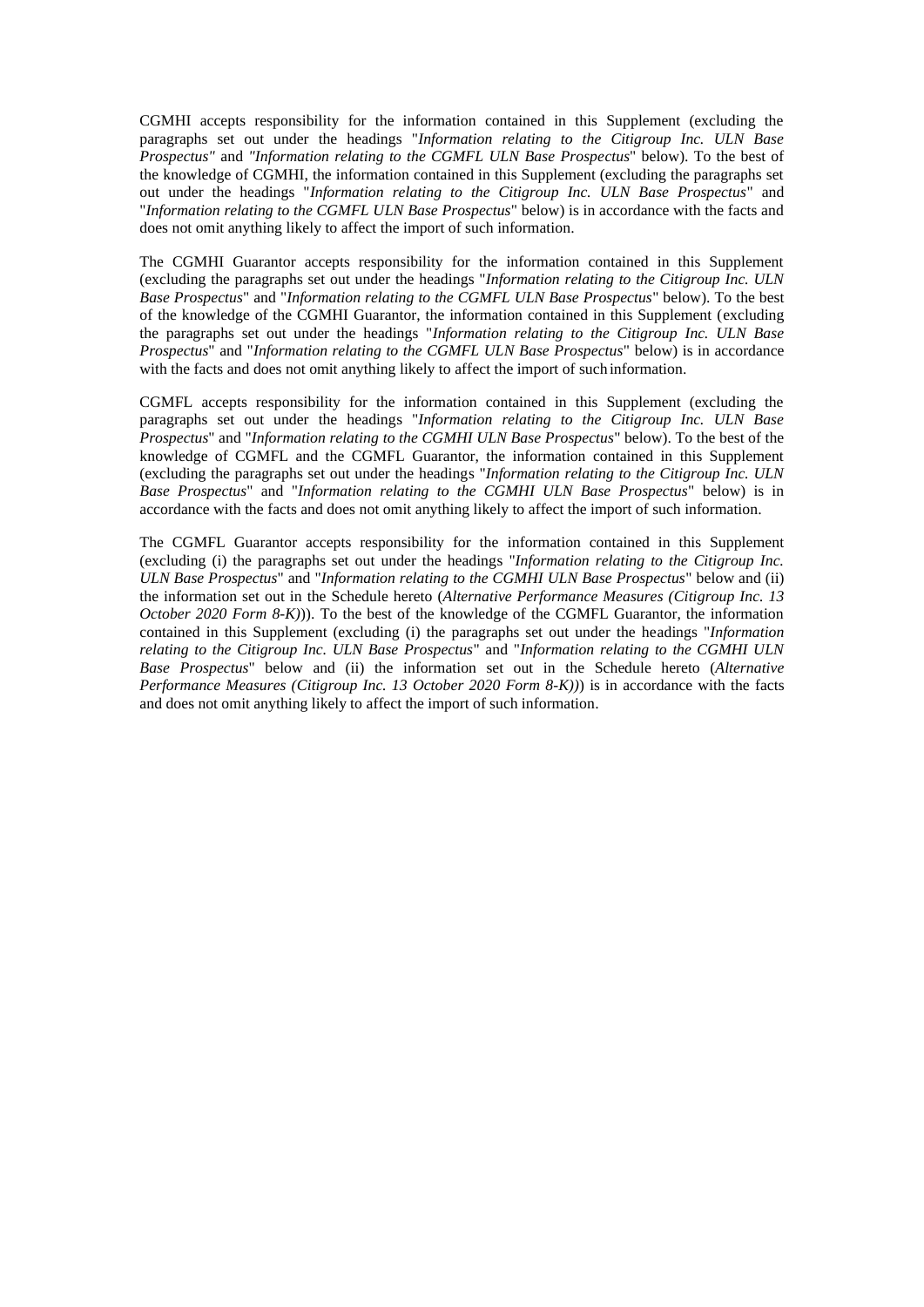CGMHI accepts responsibility for the information contained in this Supplement (excluding the paragraphs set out under the headings "*Information relating to the Citigroup Inc. ULN Base Prospectus"* and *"Information relating to the CGMFL ULN Base Prospectus*" below). To the best of the knowledge of CGMHI, the information contained in this Supplement (excluding the paragraphs set out under the headings "*Information relating to the Citigroup Inc. ULN Base Prospectus*" and "*Information relating to the CGMFL ULN Base Prospectus*" below) is in accordance with the facts and does not omit anything likely to affect the import of such information.

The CGMHI Guarantor accepts responsibility for the information contained in this Supplement (excluding the paragraphs set out under the headings "*Information relating to the Citigroup Inc. ULN Base Prospectus*" and "*Information relating to the CGMFL ULN Base Prospectus*" below). To the best of the knowledge of the CGMHI Guarantor, the information contained in this Supplement (excluding the paragraphs set out under the headings "*Information relating to the Citigroup Inc. ULN Base Prospectus*" and "*Information relating to the CGMFL ULN Base Prospectus*" below) is in accordance with the facts and does not omit anything likely to affect the import of such information.

CGMFL accepts responsibility for the information contained in this Supplement (excluding the paragraphs set out under the headings "*Information relating to the Citigroup Inc. ULN Base Prospectus*" and "*Information relating to the CGMHI ULN Base Prospectus*" below). To the best of the knowledge of CGMFL and the CGMFL Guarantor, the information contained in this Supplement (excluding the paragraphs set out under the headings "*Information relating to the Citigroup Inc. ULN Base Prospectus*" and "*Information relating to the CGMHI ULN Base Prospectus*" below) is in accordance with the facts and does not omit anything likely to affect the import of such information.

The CGMFL Guarantor accepts responsibility for the information contained in this Supplement (excluding (i) the paragraphs set out under the headings "*Information relating to the Citigroup Inc. ULN Base Prospectus*" and "*Information relating to the CGMHI ULN Base Prospectus*" below and (ii) the information set out in the Schedule hereto (*Alternative Performance Measures (Citigroup Inc. 13 October 2020 Form 8-K)*)). To the best of the knowledge of the CGMFL Guarantor, the information contained in this Supplement (excluding (i) the paragraphs set out under the headings "*Information relating to the Citigroup Inc. ULN Base Prospectus*" and "*Information relating to the CGMHI ULN Base Prospectus*" below and (ii) the information set out in the Schedule hereto (*Alternative Performance Measures (Citigroup Inc. 13 October 2020 Form 8-K))*) is in accordance with the facts and does not omit anything likely to affect the import of such information.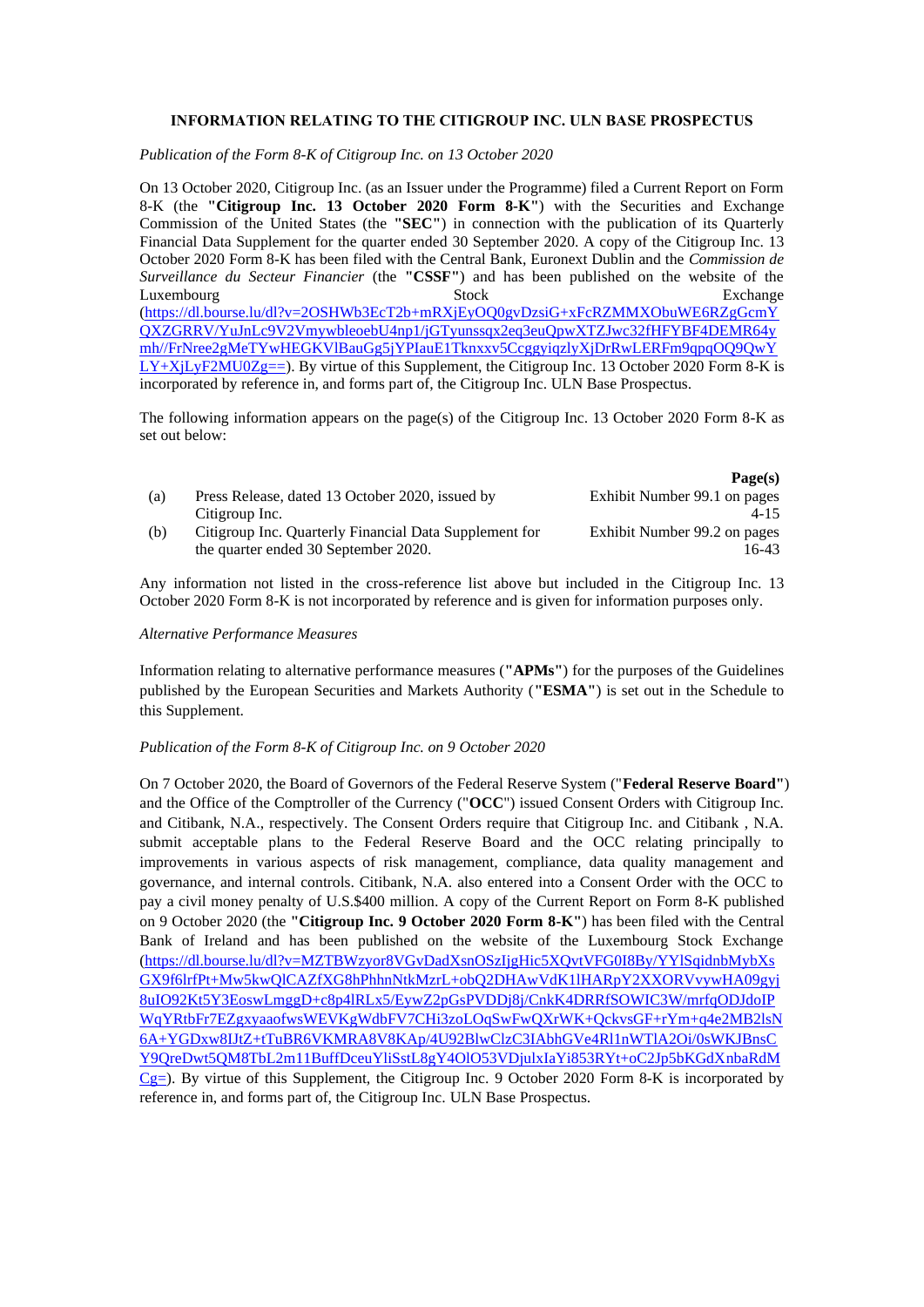# **INFORMATION RELATING TO THE CITIGROUP INC. ULN BASE PROSPECTUS**

*Publication of the Form 8-K of Citigroup Inc. on 13 October 2020*

On 13 October 2020, Citigroup Inc. (as an Issuer under the Programme) filed a Current Report on Form 8-K (the **"Citigroup Inc. 13 October 2020 Form 8-K"**) with the Securities and Exchange Commission of the United States (the **"SEC"**) in connection with the publication of its Quarterly Financial Data Supplement for the quarter ended 30 September 2020. A copy of the Citigroup Inc. 13 October 2020 Form 8-K has been filed with the Central Bank, Euronext Dublin and the *Commission de Surveillance du Secteur Financier* (the **"CSSF"**) and has been published on the website of the Luxembourg Stock Exchange Exchange [\(https://dl.bourse.lu/dl?v=2OSHWb3EcT2b+mRXjEyOQ0gvDzsiG+xFcRZMMXObuWE6RZgGcmY](https://dl.bourse.lu/dl?v=2OSHWb3EcT2b+mRXjEyOQ0gvDzsiG+xFcRZMMXObuWE6RZgGcmYQXZGRRV/YuJnLc9V2VmywbleoebU4np1/jGTyunssqx2eq3euQpwXTZJwc32fHFYBF4DEMR64ymh//FrNree2gMeTYwHEGKVlBauGg5jYPIauE1Tknxxv5CcggyiqzlyXjDrRwLERFm9qpqOQ9QwYLY+XjLyF2MU0Zg==) [QXZGRRV/YuJnLc9V2VmywbleoebU4np1/jGTyunssqx2eq3euQpwXTZJwc32fHFYBF4DEMR64y](https://dl.bourse.lu/dl?v=2OSHWb3EcT2b+mRXjEyOQ0gvDzsiG+xFcRZMMXObuWE6RZgGcmYQXZGRRV/YuJnLc9V2VmywbleoebU4np1/jGTyunssqx2eq3euQpwXTZJwc32fHFYBF4DEMR64ymh//FrNree2gMeTYwHEGKVlBauGg5jYPIauE1Tknxxv5CcggyiqzlyXjDrRwLERFm9qpqOQ9QwYLY+XjLyF2MU0Zg==) [mh//FrNree2gMeTYwHEGKVlBauGg5jYPIauE1Tknxxv5CcggyiqzlyXjDrRwLERFm9qpqOQ9QwY](https://dl.bourse.lu/dl?v=2OSHWb3EcT2b+mRXjEyOQ0gvDzsiG+xFcRZMMXObuWE6RZgGcmYQXZGRRV/YuJnLc9V2VmywbleoebU4np1/jGTyunssqx2eq3euQpwXTZJwc32fHFYBF4DEMR64ymh//FrNree2gMeTYwHEGKVlBauGg5jYPIauE1Tknxxv5CcggyiqzlyXjDrRwLERFm9qpqOQ9QwYLY+XjLyF2MU0Zg==)  $LY+XjLY+ZMU0Zg==$ ). By virtue of this Supplement, the Citigroup Inc. 13 October 2020 Form 8-K is incorporated by reference in, and forms part of, the Citigroup Inc. ULN Base Prospectus.

The following information appears on the page(s) of the Citigroup Inc. 13 October 2020 Form 8-K as set out below:

|     |                                                        | Page(s)                      |
|-----|--------------------------------------------------------|------------------------------|
| (a) | Press Release, dated 13 October 2020, issued by        | Exhibit Number 99.1 on pages |
|     | Citigroup Inc.                                         | $4 - 15$                     |
| (b) | Citigroup Inc. Quarterly Financial Data Supplement for | Exhibit Number 99.2 on pages |
|     | the quarter ended 30 September 2020.                   | 16-43                        |

Any information not listed in the cross-reference list above but included in the Citigroup Inc. 13 October 2020 Form 8-K is not incorporated by reference and is given for information purposes only.

#### *Alternative Performance Measures*

Information relating to alternative performance measures (**"APMs"**) for the purposes of the Guidelines published by the European Securities and Markets Authority (**"ESMA"**) is set out in the Schedule to this Supplement.

### *Publication of the Form 8-K of Citigroup Inc. on 9 October 2020*

On 7 October 2020, the Board of Governors of the Federal Reserve System ("**Federal Reserve Board"**) and the Office of the Comptroller of the Currency ("**OCC**") issued Consent Orders with Citigroup Inc. and Citibank, N.A., respectively. The Consent Orders require that Citigroup Inc. and Citibank , N.A. submit acceptable plans to the Federal Reserve Board and the OCC relating principally to improvements in various aspects of risk management, compliance, data quality management and governance, and internal controls. Citibank, N.A. also entered into a Consent Order with the OCC to pay a civil money penalty of U.S.\$400 million. A copy of the Current Report on Form 8-K published on 9 October 2020 (the **"Citigroup Inc. 9 October 2020 Form 8-K"**) has been filed with the Central Bank of Ireland and has been published on the website of the Luxembourg Stock Exchange [\(https://dl.bourse.lu/dl?v=MZTBWzyor8VGvDadXsnOSzIjgHic5XQvtVFG0I8By/YYlSqidnbMybXs](https://dl.bourse.lu/dl?v=MZTBWzyor8VGvDadXsnOSzIjgHic5XQvtVFG0I8By/YYlSqidnbMybXsGX9f6lrfPt+Mw5kwQlCAZfXG8hPhhnNtkMzrL+obQ2DHAwVdK1lHARpY2XXORVvywHA09gyj8uIO92Kt5Y3EoswLmggD+c8p4lRLx5/EywZ2pGsPVDDj8j/CnkK4DRRfSOWIC3W/mrfqODJdoIPWqYRtbFr7EZgxyaaofwsWEVKgWdbFV7CHi3zoLOqSwFwQXrWK+QckvsGF+rYm+q4e2MB2lsN6A+YGDxw8IJtZ+tTuBR6VKMRA8V8KAp/4U92BlwClzC3IAbhGVe4Rl1nWTlA2Oi/0sWKJBnsCY9QreDwt5QM8TbL2m11BuffDceuYliSstL8gY4OlO53VDjulxIaYi853RYt+oC2Jp5bKGdXnbaRdMCg=) [GX9f6lrfPt+Mw5kwQlCAZfXG8hPhhnNtkMzrL+obQ2DHAwVdK1lHARpY2XXORVvywHA09gyj](https://dl.bourse.lu/dl?v=MZTBWzyor8VGvDadXsnOSzIjgHic5XQvtVFG0I8By/YYlSqidnbMybXsGX9f6lrfPt+Mw5kwQlCAZfXG8hPhhnNtkMzrL+obQ2DHAwVdK1lHARpY2XXORVvywHA09gyj8uIO92Kt5Y3EoswLmggD+c8p4lRLx5/EywZ2pGsPVDDj8j/CnkK4DRRfSOWIC3W/mrfqODJdoIPWqYRtbFr7EZgxyaaofwsWEVKgWdbFV7CHi3zoLOqSwFwQXrWK+QckvsGF+rYm+q4e2MB2lsN6A+YGDxw8IJtZ+tTuBR6VKMRA8V8KAp/4U92BlwClzC3IAbhGVe4Rl1nWTlA2Oi/0sWKJBnsCY9QreDwt5QM8TbL2m11BuffDceuYliSstL8gY4OlO53VDjulxIaYi853RYt+oC2Jp5bKGdXnbaRdMCg=) [8uIO92Kt5Y3EoswLmggD+c8p4lRLx5/EywZ2pGsPVDDj8j/CnkK4DRRfSOWIC3W/mrfqODJdoIP](https://dl.bourse.lu/dl?v=MZTBWzyor8VGvDadXsnOSzIjgHic5XQvtVFG0I8By/YYlSqidnbMybXsGX9f6lrfPt+Mw5kwQlCAZfXG8hPhhnNtkMzrL+obQ2DHAwVdK1lHARpY2XXORVvywHA09gyj8uIO92Kt5Y3EoswLmggD+c8p4lRLx5/EywZ2pGsPVDDj8j/CnkK4DRRfSOWIC3W/mrfqODJdoIPWqYRtbFr7EZgxyaaofwsWEVKgWdbFV7CHi3zoLOqSwFwQXrWK+QckvsGF+rYm+q4e2MB2lsN6A+YGDxw8IJtZ+tTuBR6VKMRA8V8KAp/4U92BlwClzC3IAbhGVe4Rl1nWTlA2Oi/0sWKJBnsCY9QreDwt5QM8TbL2m11BuffDceuYliSstL8gY4OlO53VDjulxIaYi853RYt+oC2Jp5bKGdXnbaRdMCg=) [WqYRtbFr7EZgxyaaofwsWEVKgWdbFV7CHi3zoLOqSwFwQXrWK+QckvsGF+rYm+q4e2MB2lsN](https://dl.bourse.lu/dl?v=MZTBWzyor8VGvDadXsnOSzIjgHic5XQvtVFG0I8By/YYlSqidnbMybXsGX9f6lrfPt+Mw5kwQlCAZfXG8hPhhnNtkMzrL+obQ2DHAwVdK1lHARpY2XXORVvywHA09gyj8uIO92Kt5Y3EoswLmggD+c8p4lRLx5/EywZ2pGsPVDDj8j/CnkK4DRRfSOWIC3W/mrfqODJdoIPWqYRtbFr7EZgxyaaofwsWEVKgWdbFV7CHi3zoLOqSwFwQXrWK+QckvsGF+rYm+q4e2MB2lsN6A+YGDxw8IJtZ+tTuBR6VKMRA8V8KAp/4U92BlwClzC3IAbhGVe4Rl1nWTlA2Oi/0sWKJBnsCY9QreDwt5QM8TbL2m11BuffDceuYliSstL8gY4OlO53VDjulxIaYi853RYt+oC2Jp5bKGdXnbaRdMCg=) [6A+YGDxw8IJtZ+tTuBR6VKMRA8V8KAp/4U92BlwClzC3IAbhGVe4Rl1nWTlA2Oi/0sWKJBnsC](https://dl.bourse.lu/dl?v=MZTBWzyor8VGvDadXsnOSzIjgHic5XQvtVFG0I8By/YYlSqidnbMybXsGX9f6lrfPt+Mw5kwQlCAZfXG8hPhhnNtkMzrL+obQ2DHAwVdK1lHARpY2XXORVvywHA09gyj8uIO92Kt5Y3EoswLmggD+c8p4lRLx5/EywZ2pGsPVDDj8j/CnkK4DRRfSOWIC3W/mrfqODJdoIPWqYRtbFr7EZgxyaaofwsWEVKgWdbFV7CHi3zoLOqSwFwQXrWK+QckvsGF+rYm+q4e2MB2lsN6A+YGDxw8IJtZ+tTuBR6VKMRA8V8KAp/4U92BlwClzC3IAbhGVe4Rl1nWTlA2Oi/0sWKJBnsCY9QreDwt5QM8TbL2m11BuffDceuYliSstL8gY4OlO53VDjulxIaYi853RYt+oC2Jp5bKGdXnbaRdMCg=) [Y9QreDwt5QM8TbL2m11BuffDceuYliSstL8gY4OlO53VDjulxIaYi853RYt+oC2Jp5bKGdXnbaRdM](https://dl.bourse.lu/dl?v=MZTBWzyor8VGvDadXsnOSzIjgHic5XQvtVFG0I8By/YYlSqidnbMybXsGX9f6lrfPt+Mw5kwQlCAZfXG8hPhhnNtkMzrL+obQ2DHAwVdK1lHARpY2XXORVvywHA09gyj8uIO92Kt5Y3EoswLmggD+c8p4lRLx5/EywZ2pGsPVDDj8j/CnkK4DRRfSOWIC3W/mrfqODJdoIPWqYRtbFr7EZgxyaaofwsWEVKgWdbFV7CHi3zoLOqSwFwQXrWK+QckvsGF+rYm+q4e2MB2lsN6A+YGDxw8IJtZ+tTuBR6VKMRA8V8KAp/4U92BlwClzC3IAbhGVe4Rl1nWTlA2Oi/0sWKJBnsCY9QreDwt5QM8TbL2m11BuffDceuYliSstL8gY4OlO53VDjulxIaYi853RYt+oC2Jp5bKGdXnbaRdMCg=)  $Cg=$ ). By virtue of this Supplement, the Citigroup Inc. 9 October 2020 Form 8-K is incorporated by reference in, and forms part of, the Citigroup Inc. ULN Base Prospectus.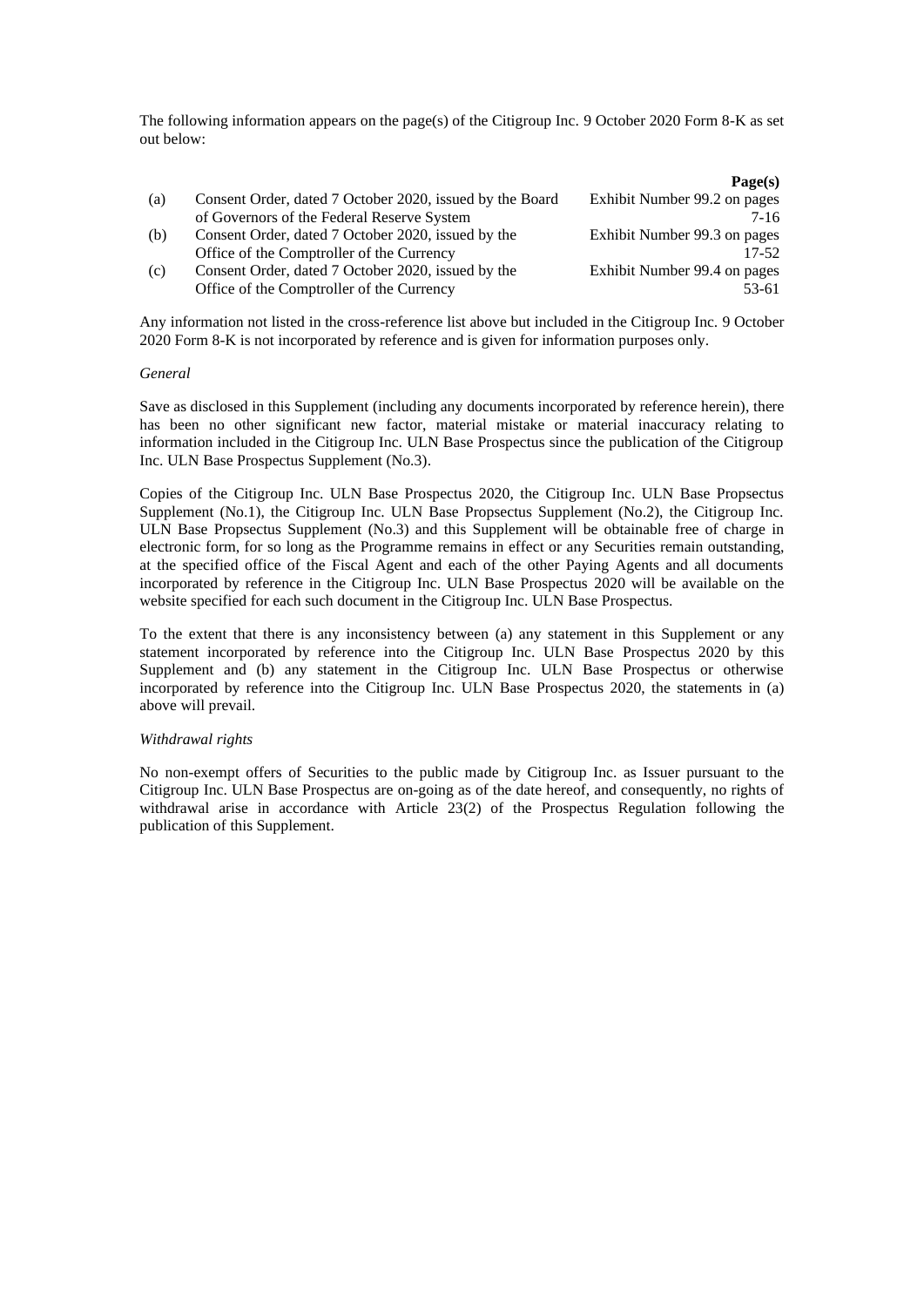The following information appears on the page(s) of the Citigroup Inc. 9 October 2020 Form 8-K as set out below:

|                                                          | Page(s)                      |
|----------------------------------------------------------|------------------------------|
| Consent Order, dated 7 October 2020, issued by the Board | Exhibit Number 99.2 on pages |
| of Governors of the Federal Reserve System               | 7-16                         |
| Consent Order, dated 7 October 2020, issued by the       | Exhibit Number 99.3 on pages |
| Office of the Comptroller of the Currency                | $17 - 52$                    |
| Consent Order, dated 7 October 2020, issued by the       | Exhibit Number 99.4 on pages |
| Office of the Comptroller of the Currency                | 53-61                        |
|                                                          |                              |

Any information not listed in the cross-reference list above but included in the Citigroup Inc. 9 October 2020 Form 8-K is not incorporated by reference and is given for information purposes only.

#### *General*

Save as disclosed in this Supplement (including any documents incorporated by reference herein), there has been no other significant new factor, material mistake or material inaccuracy relating to information included in the Citigroup Inc. ULN Base Prospectus since the publication of the Citigroup Inc. ULN Base Prospectus Supplement (No.3).

Copies of the Citigroup Inc. ULN Base Prospectus 2020, the Citigroup Inc. ULN Base Propsectus Supplement (No.1), the Citigroup Inc. ULN Base Propsectus Supplement (No.2), the Citigroup Inc. ULN Base Propsectus Supplement (No.3) and this Supplement will be obtainable free of charge in electronic form, for so long as the Programme remains in effect or any Securities remain outstanding, at the specified office of the Fiscal Agent and each of the other Paying Agents and all documents incorporated by reference in the Citigroup Inc. ULN Base Prospectus 2020 will be available on the website specified for each such document in the Citigroup Inc. ULN Base Prospectus.

To the extent that there is any inconsistency between (a) any statement in this Supplement or any statement incorporated by reference into the Citigroup Inc. ULN Base Prospectus 2020 by this Supplement and (b) any statement in the Citigroup Inc. ULN Base Prospectus or otherwise incorporated by reference into the Citigroup Inc. ULN Base Prospectus 2020, the statements in (a) above will prevail.

### *Withdrawal rights*

No non-exempt offers of Securities to the public made by Citigroup Inc. as Issuer pursuant to the Citigroup Inc. ULN Base Prospectus are on-going as of the date hereof, and consequently, no rights of withdrawal arise in accordance with Article 23(2) of the Prospectus Regulation following the publication of this Supplement.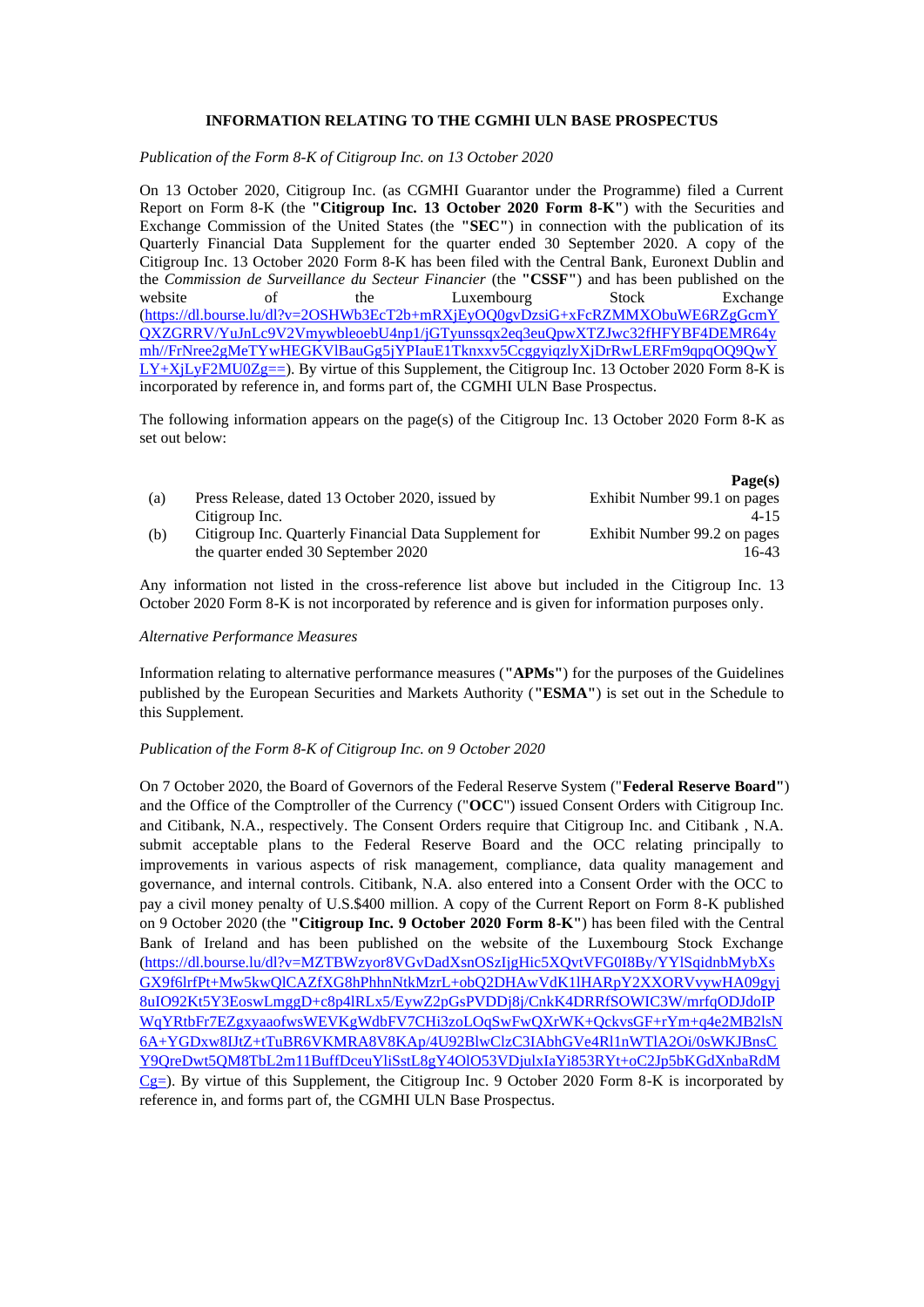# **INFORMATION RELATING TO THE CGMHI ULN BASE PROSPECTUS**

*Publication of the Form 8-K of Citigroup Inc. on 13 October 2020*

On 13 October 2020, Citigroup Inc. (as CGMHI Guarantor under the Programme) filed a Current Report on Form 8-K (the **"Citigroup Inc. 13 October 2020 Form 8-K"**) with the Securities and Exchange Commission of the United States (the **"SEC"**) in connection with the publication of its Quarterly Financial Data Supplement for the quarter ended 30 September 2020. A copy of the Citigroup Inc. 13 October 2020 Form 8-K has been filed with the Central Bank, Euronext Dublin and the *Commission de Surveillance du Secteur Financier* (the **"CSSF"**) and has been published on the website of the Luxembourg Stock Exchange website of the Luxembourg Stock Exchange [\(https://dl.bourse.lu/dl?v=2OSHWb3EcT2b+mRXjEyOQ0gvDzsiG+xFcRZMMXObuWE6RZgGcmY](https://dl.bourse.lu/dl?v=2OSHWb3EcT2b+mRXjEyOQ0gvDzsiG+xFcRZMMXObuWE6RZgGcmYQXZGRRV/YuJnLc9V2VmywbleoebU4np1/jGTyunssqx2eq3euQpwXTZJwc32fHFYBF4DEMR64ymh//FrNree2gMeTYwHEGKVlBauGg5jYPIauE1Tknxxv5CcggyiqzlyXjDrRwLERFm9qpqOQ9QwYLY+XjLyF2MU0Zg==) [QXZGRRV/YuJnLc9V2VmywbleoebU4np1/jGTyunssqx2eq3euQpwXTZJwc32fHFYBF4DEMR64y](https://dl.bourse.lu/dl?v=2OSHWb3EcT2b+mRXjEyOQ0gvDzsiG+xFcRZMMXObuWE6RZgGcmYQXZGRRV/YuJnLc9V2VmywbleoebU4np1/jGTyunssqx2eq3euQpwXTZJwc32fHFYBF4DEMR64ymh//FrNree2gMeTYwHEGKVlBauGg5jYPIauE1Tknxxv5CcggyiqzlyXjDrRwLERFm9qpqOQ9QwYLY+XjLyF2MU0Zg==) [mh//FrNree2gMeTYwHEGKVlBauGg5jYPIauE1Tknxxv5CcggyiqzlyXjDrRwLERFm9qpqOQ9QwY](https://dl.bourse.lu/dl?v=2OSHWb3EcT2b+mRXjEyOQ0gvDzsiG+xFcRZMMXObuWE6RZgGcmYQXZGRRV/YuJnLc9V2VmywbleoebU4np1/jGTyunssqx2eq3euQpwXTZJwc32fHFYBF4DEMR64ymh//FrNree2gMeTYwHEGKVlBauGg5jYPIauE1Tknxxv5CcggyiqzlyXjDrRwLERFm9qpqOQ9QwYLY+XjLyF2MU0Zg==)  $LY+XjLYF2MU0Zg==$ ). By virtue of this Supplement, the Citigroup Inc. 13 October 2020 Form 8-K is incorporated by reference in, and forms part of, the CGMHI ULN Base Prospectus.

The following information appears on the page(s) of the Citigroup Inc. 13 October 2020 Form 8-K as set out below:

|     |                                                                                               | Page(s)                               |
|-----|-----------------------------------------------------------------------------------------------|---------------------------------------|
| (a) | Press Release, dated 13 October 2020, issued by                                               | Exhibit Number 99.1 on pages          |
|     | Citigroup Inc.                                                                                | $4 - 15$                              |
| (b) | Citigroup Inc. Quarterly Financial Data Supplement for<br>the quarter ended 30 September 2020 | Exhibit Number 99.2 on pages<br>16-43 |

Any information not listed in the cross-reference list above but included in the Citigroup Inc. 13 October 2020 Form 8-K is not incorporated by reference and is given for information purposes only.

### *Alternative Performance Measures*

Information relating to alternative performance measures (**"APMs"**) for the purposes of the Guidelines published by the European Securities and Markets Authority (**"ESMA"**) is set out in the Schedule to this Supplement.

#### *Publication of the Form 8-K of Citigroup Inc. on 9 October 2020*

On 7 October 2020, the Board of Governors of the Federal Reserve System ("**Federal Reserve Board"**) and the Office of the Comptroller of the Currency ("**OCC**") issued Consent Orders with Citigroup Inc. and Citibank, N.A., respectively. The Consent Orders require that Citigroup Inc. and Citibank , N.A. submit acceptable plans to the Federal Reserve Board and the OCC relating principally to improvements in various aspects of risk management, compliance, data quality management and governance, and internal controls. Citibank, N.A. also entered into a Consent Order with the OCC to pay a civil money penalty of U.S.\$400 million. A copy of the Current Report on Form 8-K published on 9 October 2020 (the **"Citigroup Inc. 9 October 2020 Form 8-K"**) has been filed with the Central Bank of Ireland and has been published on the website of the Luxembourg Stock Exchange [\(https://dl.bourse.lu/dl?v=MZTBWzyor8VGvDadXsnOSzIjgHic5XQvtVFG0I8By/YYlSqidnbMybXs](https://dl.bourse.lu/dl?v=MZTBWzyor8VGvDadXsnOSzIjgHic5XQvtVFG0I8By/YYlSqidnbMybXsGX9f6lrfPt+Mw5kwQlCAZfXG8hPhhnNtkMzrL+obQ2DHAwVdK1lHARpY2XXORVvywHA09gyj8uIO92Kt5Y3EoswLmggD+c8p4lRLx5/EywZ2pGsPVDDj8j/CnkK4DRRfSOWIC3W/mrfqODJdoIPWqYRtbFr7EZgxyaaofwsWEVKgWdbFV7CHi3zoLOqSwFwQXrWK+QckvsGF+rYm+q4e2MB2lsN6A+YGDxw8IJtZ+tTuBR6VKMRA8V8KAp/4U92BlwClzC3IAbhGVe4Rl1nWTlA2Oi/0sWKJBnsCY9QreDwt5QM8TbL2m11BuffDceuYliSstL8gY4OlO53VDjulxIaYi853RYt+oC2Jp5bKGdXnbaRdMCg=) [GX9f6lrfPt+Mw5kwQlCAZfXG8hPhhnNtkMzrL+obQ2DHAwVdK1lHARpY2XXORVvywHA09gyj](https://dl.bourse.lu/dl?v=MZTBWzyor8VGvDadXsnOSzIjgHic5XQvtVFG0I8By/YYlSqidnbMybXsGX9f6lrfPt+Mw5kwQlCAZfXG8hPhhnNtkMzrL+obQ2DHAwVdK1lHARpY2XXORVvywHA09gyj8uIO92Kt5Y3EoswLmggD+c8p4lRLx5/EywZ2pGsPVDDj8j/CnkK4DRRfSOWIC3W/mrfqODJdoIPWqYRtbFr7EZgxyaaofwsWEVKgWdbFV7CHi3zoLOqSwFwQXrWK+QckvsGF+rYm+q4e2MB2lsN6A+YGDxw8IJtZ+tTuBR6VKMRA8V8KAp/4U92BlwClzC3IAbhGVe4Rl1nWTlA2Oi/0sWKJBnsCY9QreDwt5QM8TbL2m11BuffDceuYliSstL8gY4OlO53VDjulxIaYi853RYt+oC2Jp5bKGdXnbaRdMCg=) [8uIO92Kt5Y3EoswLmggD+c8p4lRLx5/EywZ2pGsPVDDj8j/CnkK4DRRfSOWIC3W/mrfqODJdoIP](https://dl.bourse.lu/dl?v=MZTBWzyor8VGvDadXsnOSzIjgHic5XQvtVFG0I8By/YYlSqidnbMybXsGX9f6lrfPt+Mw5kwQlCAZfXG8hPhhnNtkMzrL+obQ2DHAwVdK1lHARpY2XXORVvywHA09gyj8uIO92Kt5Y3EoswLmggD+c8p4lRLx5/EywZ2pGsPVDDj8j/CnkK4DRRfSOWIC3W/mrfqODJdoIPWqYRtbFr7EZgxyaaofwsWEVKgWdbFV7CHi3zoLOqSwFwQXrWK+QckvsGF+rYm+q4e2MB2lsN6A+YGDxw8IJtZ+tTuBR6VKMRA8V8KAp/4U92BlwClzC3IAbhGVe4Rl1nWTlA2Oi/0sWKJBnsCY9QreDwt5QM8TbL2m11BuffDceuYliSstL8gY4OlO53VDjulxIaYi853RYt+oC2Jp5bKGdXnbaRdMCg=) [WqYRtbFr7EZgxyaaofwsWEVKgWdbFV7CHi3zoLOqSwFwQXrWK+QckvsGF+rYm+q4e2MB2lsN](https://dl.bourse.lu/dl?v=MZTBWzyor8VGvDadXsnOSzIjgHic5XQvtVFG0I8By/YYlSqidnbMybXsGX9f6lrfPt+Mw5kwQlCAZfXG8hPhhnNtkMzrL+obQ2DHAwVdK1lHARpY2XXORVvywHA09gyj8uIO92Kt5Y3EoswLmggD+c8p4lRLx5/EywZ2pGsPVDDj8j/CnkK4DRRfSOWIC3W/mrfqODJdoIPWqYRtbFr7EZgxyaaofwsWEVKgWdbFV7CHi3zoLOqSwFwQXrWK+QckvsGF+rYm+q4e2MB2lsN6A+YGDxw8IJtZ+tTuBR6VKMRA8V8KAp/4U92BlwClzC3IAbhGVe4Rl1nWTlA2Oi/0sWKJBnsCY9QreDwt5QM8TbL2m11BuffDceuYliSstL8gY4OlO53VDjulxIaYi853RYt+oC2Jp5bKGdXnbaRdMCg=) [6A+YGDxw8IJtZ+tTuBR6VKMRA8V8KAp/4U92BlwClzC3IAbhGVe4Rl1nWTlA2Oi/0sWKJBnsC](https://dl.bourse.lu/dl?v=MZTBWzyor8VGvDadXsnOSzIjgHic5XQvtVFG0I8By/YYlSqidnbMybXsGX9f6lrfPt+Mw5kwQlCAZfXG8hPhhnNtkMzrL+obQ2DHAwVdK1lHARpY2XXORVvywHA09gyj8uIO92Kt5Y3EoswLmggD+c8p4lRLx5/EywZ2pGsPVDDj8j/CnkK4DRRfSOWIC3W/mrfqODJdoIPWqYRtbFr7EZgxyaaofwsWEVKgWdbFV7CHi3zoLOqSwFwQXrWK+QckvsGF+rYm+q4e2MB2lsN6A+YGDxw8IJtZ+tTuBR6VKMRA8V8KAp/4U92BlwClzC3IAbhGVe4Rl1nWTlA2Oi/0sWKJBnsCY9QreDwt5QM8TbL2m11BuffDceuYliSstL8gY4OlO53VDjulxIaYi853RYt+oC2Jp5bKGdXnbaRdMCg=) [Y9QreDwt5QM8TbL2m11BuffDceuYliSstL8gY4OlO53VDjulxIaYi853RYt+oC2Jp5bKGdXnbaRdM](https://dl.bourse.lu/dl?v=MZTBWzyor8VGvDadXsnOSzIjgHic5XQvtVFG0I8By/YYlSqidnbMybXsGX9f6lrfPt+Mw5kwQlCAZfXG8hPhhnNtkMzrL+obQ2DHAwVdK1lHARpY2XXORVvywHA09gyj8uIO92Kt5Y3EoswLmggD+c8p4lRLx5/EywZ2pGsPVDDj8j/CnkK4DRRfSOWIC3W/mrfqODJdoIPWqYRtbFr7EZgxyaaofwsWEVKgWdbFV7CHi3zoLOqSwFwQXrWK+QckvsGF+rYm+q4e2MB2lsN6A+YGDxw8IJtZ+tTuBR6VKMRA8V8KAp/4U92BlwClzC3IAbhGVe4Rl1nWTlA2Oi/0sWKJBnsCY9QreDwt5QM8TbL2m11BuffDceuYliSstL8gY4OlO53VDjulxIaYi853RYt+oC2Jp5bKGdXnbaRdMCg=)  $Cg=$ ). By virtue of this Supplement, the Citigroup Inc. 9 October 2020 Form 8-K is incorporated by reference in, and forms part of, the CGMHI ULN Base Prospectus.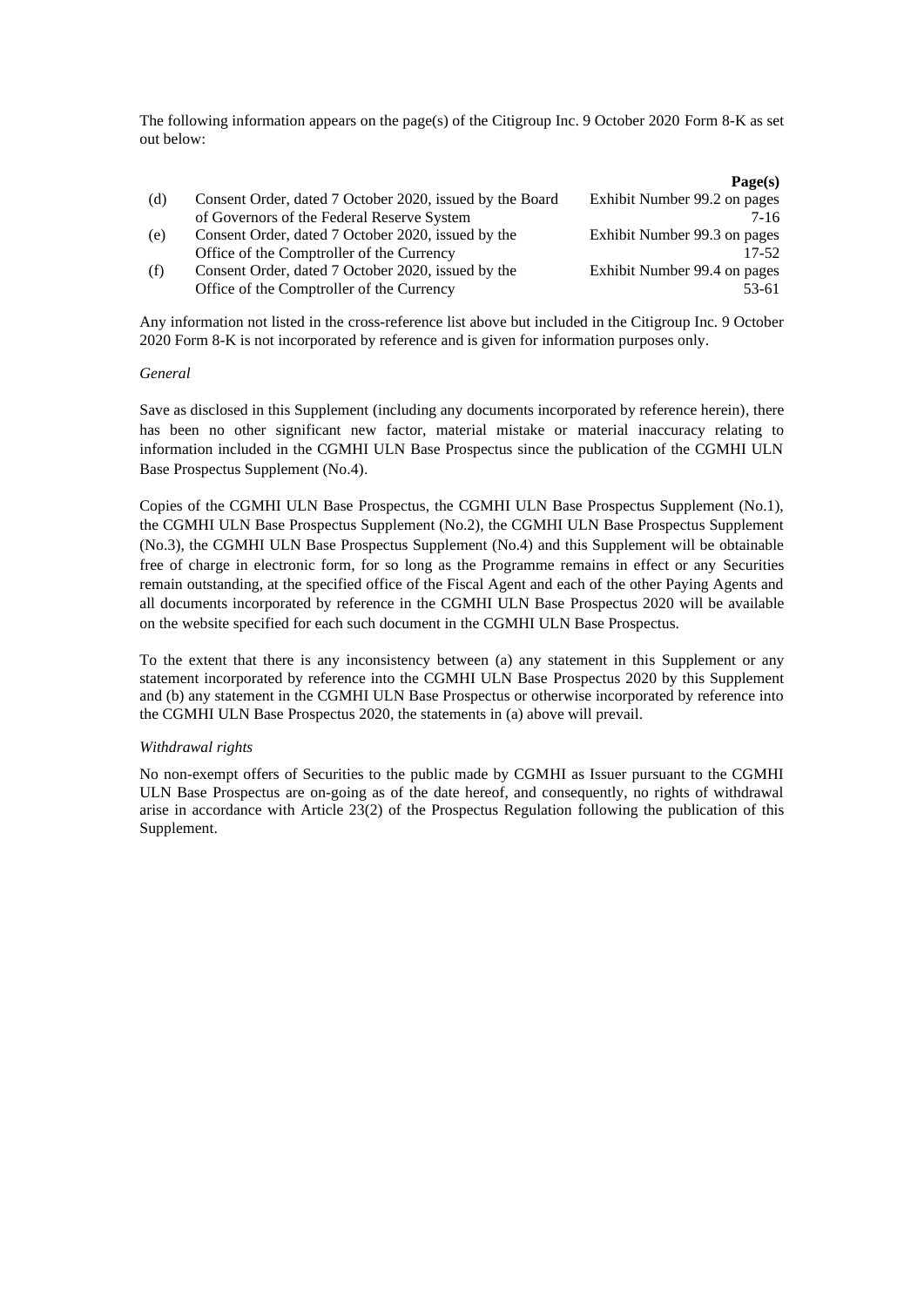The following information appears on the page(s) of the Citigroup Inc. 9 October 2020 Form 8-K as set out below:

|     |                                                          | Page(s)                      |
|-----|----------------------------------------------------------|------------------------------|
| (d) | Consent Order, dated 7 October 2020, issued by the Board | Exhibit Number 99.2 on pages |
|     | of Governors of the Federal Reserve System               | 7-16                         |
| (e) | Consent Order, dated 7 October 2020, issued by the       | Exhibit Number 99.3 on pages |
|     | Office of the Comptroller of the Currency                | $17 - 52$                    |
| (f) | Consent Order, dated 7 October 2020, issued by the       | Exhibit Number 99.4 on pages |
|     | Office of the Comptroller of the Currency                | 53-61                        |
|     |                                                          |                              |

Any information not listed in the cross-reference list above but included in the Citigroup Inc. 9 October 2020 Form 8-K is not incorporated by reference and is given for information purposes only.

#### *General*

Save as disclosed in this Supplement (including any documents incorporated by reference herein), there has been no other significant new factor, material mistake or material inaccuracy relating to information included in the CGMHI ULN Base Prospectus since the publication of the CGMHI ULN Base Prospectus Supplement (No.4).

Copies of the CGMHI ULN Base Prospectus, the CGMHI ULN Base Prospectus Supplement (No.1), the CGMHI ULN Base Prospectus Supplement (No.2), the CGMHI ULN Base Prospectus Supplement (No.3), the CGMHI ULN Base Prospectus Supplement (No.4) and this Supplement will be obtainable free of charge in electronic form, for so long as the Programme remains in effect or any Securities remain outstanding, at the specified office of the Fiscal Agent and each of the other Paying Agents and all documents incorporated by reference in the CGMHI ULN Base Prospectus 2020 will be available on the website specified for each such document in the CGMHI ULN Base Prospectus.

To the extent that there is any inconsistency between (a) any statement in this Supplement or any statement incorporated by reference into the CGMHI ULN Base Prospectus 2020 by this Supplement and (b) any statement in the CGMHI ULN Base Prospectus or otherwise incorporated by reference into the CGMHI ULN Base Prospectus 2020, the statements in (a) above will prevail.

#### *Withdrawal rights*

No non-exempt offers of Securities to the public made by CGMHI as Issuer pursuant to the CGMHI ULN Base Prospectus are on-going as of the date hereof, and consequently, no rights of withdrawal arise in accordance with Article 23(2) of the Prospectus Regulation following the publication of this Supplement.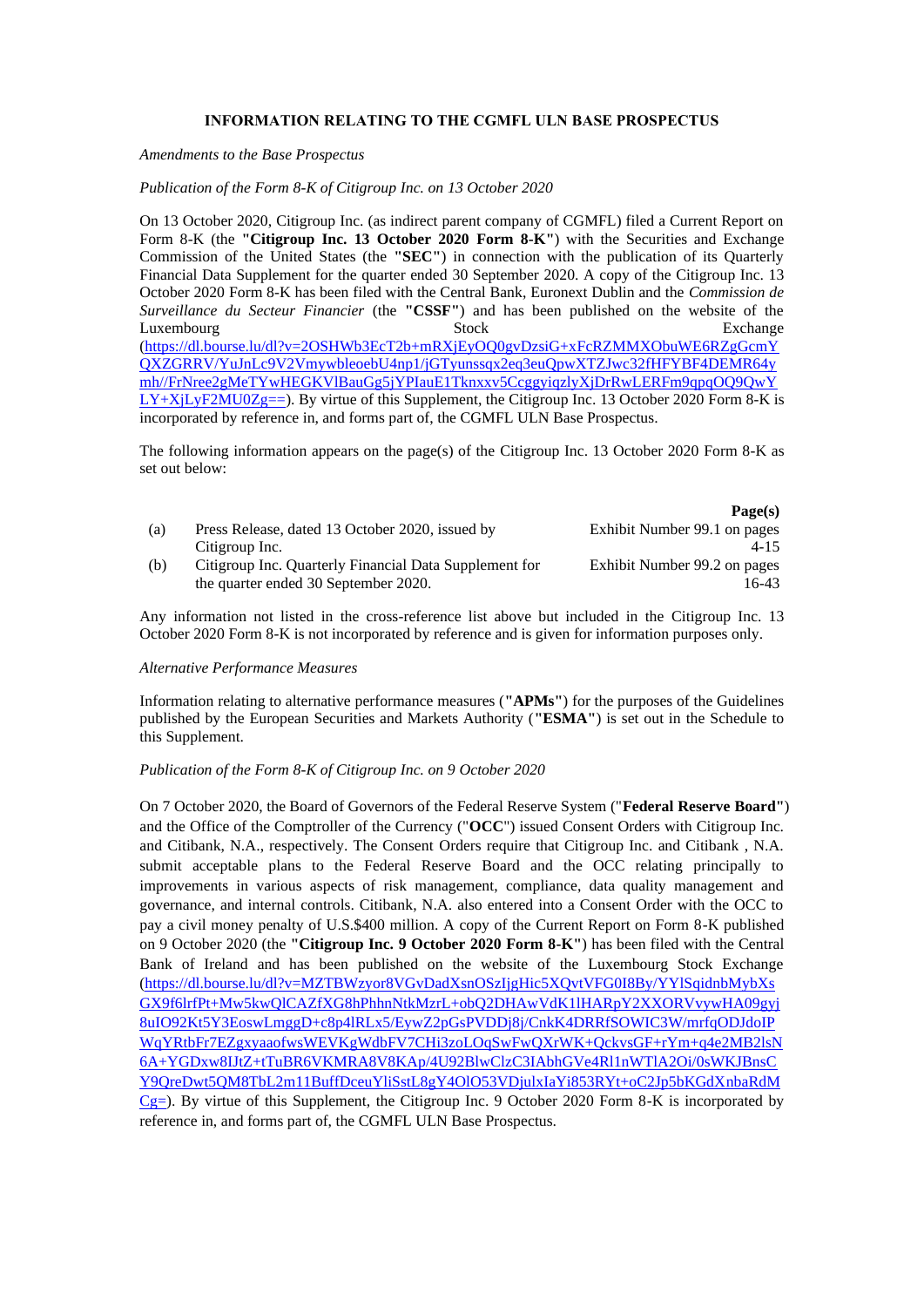# **INFORMATION RELATING TO THE CGMFL ULN BASE PROSPECTUS**

*Amendments to the Base Prospectus*

### *Publication of the Form 8-K of Citigroup Inc. on 13 October 2020*

On 13 October 2020, Citigroup Inc. (as indirect parent company of CGMFL) filed a Current Report on Form 8-K (the **"Citigroup Inc. 13 October 2020 Form 8-K"**) with the Securities and Exchange Commission of the United States (the **"SEC"**) in connection with the publication of its Quarterly Financial Data Supplement for the quarter ended 30 September 2020. A copy of the Citigroup Inc. 13 October 2020 Form 8-K has been filed with the Central Bank, Euronext Dublin and the *Commission de Surveillance du Secteur Financier* (the **"CSSF"**) and has been published on the website of the Luxembourg Stock Exchange Exchange [\(https://dl.bourse.lu/dl?v=2OSHWb3EcT2b+mRXjEyOQ0gvDzsiG+xFcRZMMXObuWE6RZgGcmY](https://dl.bourse.lu/dl?v=2OSHWb3EcT2b+mRXjEyOQ0gvDzsiG+xFcRZMMXObuWE6RZgGcmYQXZGRRV/YuJnLc9V2VmywbleoebU4np1/jGTyunssqx2eq3euQpwXTZJwc32fHFYBF4DEMR64ymh//FrNree2gMeTYwHEGKVlBauGg5jYPIauE1Tknxxv5CcggyiqzlyXjDrRwLERFm9qpqOQ9QwYLY+XjLyF2MU0Zg==) [QXZGRRV/YuJnLc9V2VmywbleoebU4np1/jGTyunssqx2eq3euQpwXTZJwc32fHFYBF4DEMR64y](https://dl.bourse.lu/dl?v=2OSHWb3EcT2b+mRXjEyOQ0gvDzsiG+xFcRZMMXObuWE6RZgGcmYQXZGRRV/YuJnLc9V2VmywbleoebU4np1/jGTyunssqx2eq3euQpwXTZJwc32fHFYBF4DEMR64ymh//FrNree2gMeTYwHEGKVlBauGg5jYPIauE1Tknxxv5CcggyiqzlyXjDrRwLERFm9qpqOQ9QwYLY+XjLyF2MU0Zg==) [mh//FrNree2gMeTYwHEGKVlBauGg5jYPIauE1Tknxxv5CcggyiqzlyXjDrRwLERFm9qpqOQ9QwY](https://dl.bourse.lu/dl?v=2OSHWb3EcT2b+mRXjEyOQ0gvDzsiG+xFcRZMMXObuWE6RZgGcmYQXZGRRV/YuJnLc9V2VmywbleoebU4np1/jGTyunssqx2eq3euQpwXTZJwc32fHFYBF4DEMR64ymh//FrNree2gMeTYwHEGKVlBauGg5jYPIauE1Tknxxv5CcggyiqzlyXjDrRwLERFm9qpqOQ9QwYLY+XjLyF2MU0Zg==)  $LY+XiLYF2MU0Zg==$ ). By virtue of this Supplement, the Citigroup Inc. 13 October 2020 Form 8-K is incorporated by reference in, and forms part of, the CGMFL ULN Base Prospectus.

The following information appears on the page(s) of the Citigroup Inc. 13 October 2020 Form 8-K as set out below:

|     |                                                        | Page(s)                      |
|-----|--------------------------------------------------------|------------------------------|
| (a) | Press Release, dated 13 October 2020, issued by        | Exhibit Number 99.1 on pages |
|     | Citigroup Inc.                                         | $4 - 15$                     |
| (b) | Citigroup Inc. Quarterly Financial Data Supplement for | Exhibit Number 99.2 on pages |
|     | the quarter ended 30 September 2020.                   | $6-43$                       |

Any information not listed in the cross-reference list above but included in the Citigroup Inc. 13 October 2020 Form 8-K is not incorporated by reference and is given for information purposes only.

#### *Alternative Performance Measures*

Information relating to alternative performance measures (**"APMs"**) for the purposes of the Guidelines published by the European Securities and Markets Authority (**"ESMA"**) is set out in the Schedule to this Supplement.

#### *Publication of the Form 8-K of Citigroup Inc. on 9 October 2020*

On 7 October 2020, the Board of Governors of the Federal Reserve System ("**Federal Reserve Board"**) and the Office of the Comptroller of the Currency ("**OCC**") issued Consent Orders with Citigroup Inc. and Citibank, N.A., respectively. The Consent Orders require that Citigroup Inc. and Citibank , N.A. submit acceptable plans to the Federal Reserve Board and the OCC relating principally to improvements in various aspects of risk management, compliance, data quality management and governance, and internal controls. Citibank, N.A. also entered into a Consent Order with the OCC to pay a civil money penalty of U.S.\$400 million. A copy of the Current Report on Form 8-K published on 9 October 2020 (the **"Citigroup Inc. 9 October 2020 Form 8-K"**) has been filed with the Central Bank of Ireland and has been published on the website of the Luxembourg Stock Exchange [\(https://dl.bourse.lu/dl?v=MZTBWzyor8VGvDadXsnOSzIjgHic5XQvtVFG0I8By/YYlSqidnbMybXs](https://dl.bourse.lu/dl?v=MZTBWzyor8VGvDadXsnOSzIjgHic5XQvtVFG0I8By/YYlSqidnbMybXsGX9f6lrfPt+Mw5kwQlCAZfXG8hPhhnNtkMzrL+obQ2DHAwVdK1lHARpY2XXORVvywHA09gyj8uIO92Kt5Y3EoswLmggD+c8p4lRLx5/EywZ2pGsPVDDj8j/CnkK4DRRfSOWIC3W/mrfqODJdoIPWqYRtbFr7EZgxyaaofwsWEVKgWdbFV7CHi3zoLOqSwFwQXrWK+QckvsGF+rYm+q4e2MB2lsN6A+YGDxw8IJtZ+tTuBR6VKMRA8V8KAp/4U92BlwClzC3IAbhGVe4Rl1nWTlA2Oi/0sWKJBnsCY9QreDwt5QM8TbL2m11BuffDceuYliSstL8gY4OlO53VDjulxIaYi853RYt+oC2Jp5bKGdXnbaRdMCg=) [GX9f6lrfPt+Mw5kwQlCAZfXG8hPhhnNtkMzrL+obQ2DHAwVdK1lHARpY2XXORVvywHA09gyj](https://dl.bourse.lu/dl?v=MZTBWzyor8VGvDadXsnOSzIjgHic5XQvtVFG0I8By/YYlSqidnbMybXsGX9f6lrfPt+Mw5kwQlCAZfXG8hPhhnNtkMzrL+obQ2DHAwVdK1lHARpY2XXORVvywHA09gyj8uIO92Kt5Y3EoswLmggD+c8p4lRLx5/EywZ2pGsPVDDj8j/CnkK4DRRfSOWIC3W/mrfqODJdoIPWqYRtbFr7EZgxyaaofwsWEVKgWdbFV7CHi3zoLOqSwFwQXrWK+QckvsGF+rYm+q4e2MB2lsN6A+YGDxw8IJtZ+tTuBR6VKMRA8V8KAp/4U92BlwClzC3IAbhGVe4Rl1nWTlA2Oi/0sWKJBnsCY9QreDwt5QM8TbL2m11BuffDceuYliSstL8gY4OlO53VDjulxIaYi853RYt+oC2Jp5bKGdXnbaRdMCg=) [8uIO92Kt5Y3EoswLmggD+c8p4lRLx5/EywZ2pGsPVDDj8j/CnkK4DRRfSOWIC3W/mrfqODJdoIP](https://dl.bourse.lu/dl?v=MZTBWzyor8VGvDadXsnOSzIjgHic5XQvtVFG0I8By/YYlSqidnbMybXsGX9f6lrfPt+Mw5kwQlCAZfXG8hPhhnNtkMzrL+obQ2DHAwVdK1lHARpY2XXORVvywHA09gyj8uIO92Kt5Y3EoswLmggD+c8p4lRLx5/EywZ2pGsPVDDj8j/CnkK4DRRfSOWIC3W/mrfqODJdoIPWqYRtbFr7EZgxyaaofwsWEVKgWdbFV7CHi3zoLOqSwFwQXrWK+QckvsGF+rYm+q4e2MB2lsN6A+YGDxw8IJtZ+tTuBR6VKMRA8V8KAp/4U92BlwClzC3IAbhGVe4Rl1nWTlA2Oi/0sWKJBnsCY9QreDwt5QM8TbL2m11BuffDceuYliSstL8gY4OlO53VDjulxIaYi853RYt+oC2Jp5bKGdXnbaRdMCg=) [WqYRtbFr7EZgxyaaofwsWEVKgWdbFV7CHi3zoLOqSwFwQXrWK+QckvsGF+rYm+q4e2MB2lsN](https://dl.bourse.lu/dl?v=MZTBWzyor8VGvDadXsnOSzIjgHic5XQvtVFG0I8By/YYlSqidnbMybXsGX9f6lrfPt+Mw5kwQlCAZfXG8hPhhnNtkMzrL+obQ2DHAwVdK1lHARpY2XXORVvywHA09gyj8uIO92Kt5Y3EoswLmggD+c8p4lRLx5/EywZ2pGsPVDDj8j/CnkK4DRRfSOWIC3W/mrfqODJdoIPWqYRtbFr7EZgxyaaofwsWEVKgWdbFV7CHi3zoLOqSwFwQXrWK+QckvsGF+rYm+q4e2MB2lsN6A+YGDxw8IJtZ+tTuBR6VKMRA8V8KAp/4U92BlwClzC3IAbhGVe4Rl1nWTlA2Oi/0sWKJBnsCY9QreDwt5QM8TbL2m11BuffDceuYliSstL8gY4OlO53VDjulxIaYi853RYt+oC2Jp5bKGdXnbaRdMCg=) [6A+YGDxw8IJtZ+tTuBR6VKMRA8V8KAp/4U92BlwClzC3IAbhGVe4Rl1nWTlA2Oi/0sWKJBnsC](https://dl.bourse.lu/dl?v=MZTBWzyor8VGvDadXsnOSzIjgHic5XQvtVFG0I8By/YYlSqidnbMybXsGX9f6lrfPt+Mw5kwQlCAZfXG8hPhhnNtkMzrL+obQ2DHAwVdK1lHARpY2XXORVvywHA09gyj8uIO92Kt5Y3EoswLmggD+c8p4lRLx5/EywZ2pGsPVDDj8j/CnkK4DRRfSOWIC3W/mrfqODJdoIPWqYRtbFr7EZgxyaaofwsWEVKgWdbFV7CHi3zoLOqSwFwQXrWK+QckvsGF+rYm+q4e2MB2lsN6A+YGDxw8IJtZ+tTuBR6VKMRA8V8KAp/4U92BlwClzC3IAbhGVe4Rl1nWTlA2Oi/0sWKJBnsCY9QreDwt5QM8TbL2m11BuffDceuYliSstL8gY4OlO53VDjulxIaYi853RYt+oC2Jp5bKGdXnbaRdMCg=) [Y9QreDwt5QM8TbL2m11BuffDceuYliSstL8gY4OlO53VDjulxIaYi853RYt+oC2Jp5bKGdXnbaRdM](https://dl.bourse.lu/dl?v=MZTBWzyor8VGvDadXsnOSzIjgHic5XQvtVFG0I8By/YYlSqidnbMybXsGX9f6lrfPt+Mw5kwQlCAZfXG8hPhhnNtkMzrL+obQ2DHAwVdK1lHARpY2XXORVvywHA09gyj8uIO92Kt5Y3EoswLmggD+c8p4lRLx5/EywZ2pGsPVDDj8j/CnkK4DRRfSOWIC3W/mrfqODJdoIPWqYRtbFr7EZgxyaaofwsWEVKgWdbFV7CHi3zoLOqSwFwQXrWK+QckvsGF+rYm+q4e2MB2lsN6A+YGDxw8IJtZ+tTuBR6VKMRA8V8KAp/4U92BlwClzC3IAbhGVe4Rl1nWTlA2Oi/0sWKJBnsCY9QreDwt5QM8TbL2m11BuffDceuYliSstL8gY4OlO53VDjulxIaYi853RYt+oC2Jp5bKGdXnbaRdMCg=)  $Cg=$ ). By virtue of this Supplement, the Citigroup Inc. 9 October 2020 Form 8-K is incorporated by reference in, and forms part of, the CGMFL ULN Base Prospectus.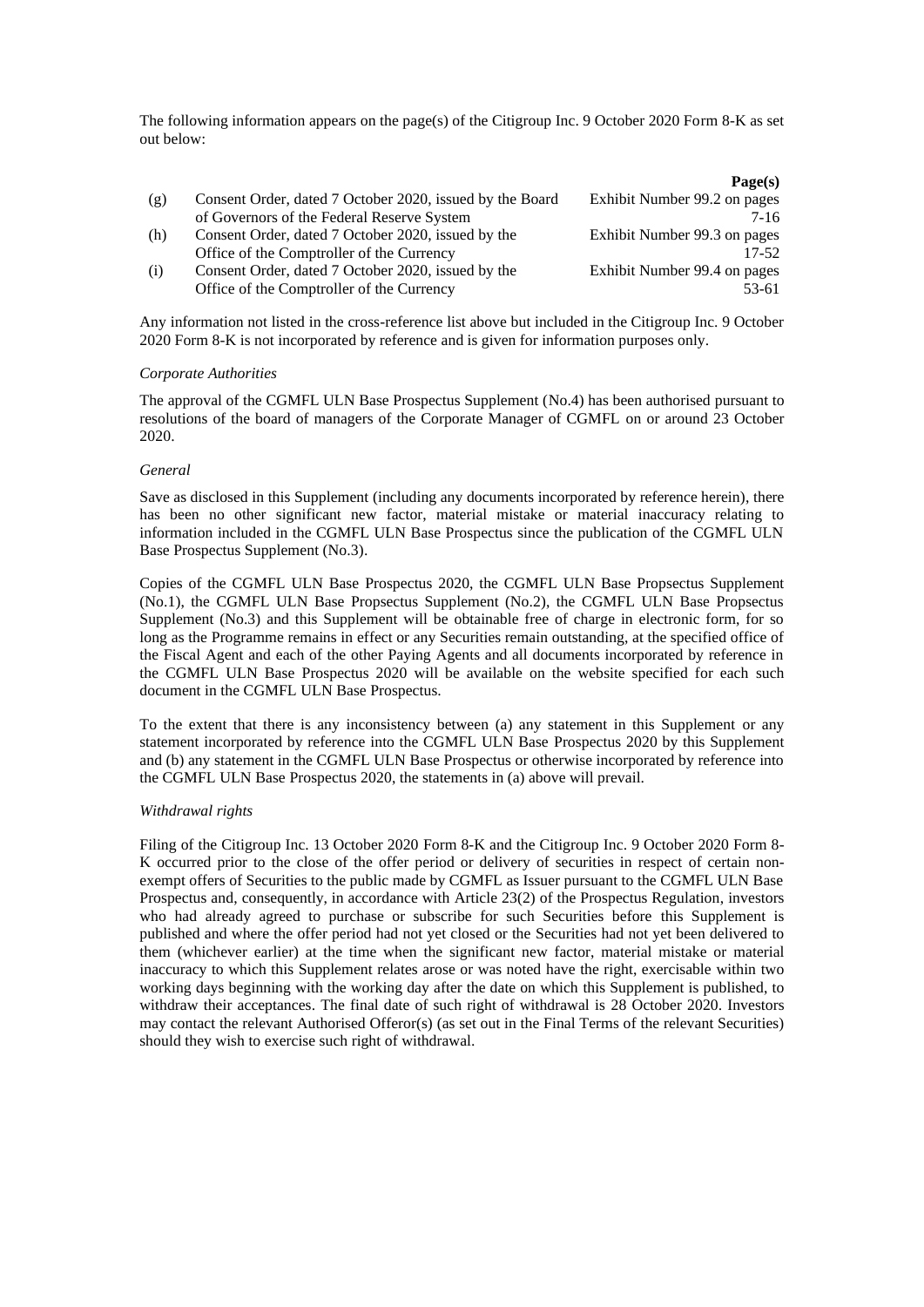The following information appears on the page(s) of the Citigroup Inc. 9 October 2020 Form 8-K as set out below:

| Page(s)                      |
|------------------------------|
| Exhibit Number 99.2 on pages |
| 7-16                         |
| Exhibit Number 99.3 on pages |
| $17 - 52$                    |
| Exhibit Number 99.4 on pages |
| 53-61                        |
|                              |

Any information not listed in the cross-reference list above but included in the Citigroup Inc. 9 October 2020 Form 8-K is not incorporated by reference and is given for information purposes only.

#### *Corporate Authorities*

The approval of the CGMFL ULN Base Prospectus Supplement (No.4) has been authorised pursuant to resolutions of the board of managers of the Corporate Manager of CGMFL on or around 23 October 2020.

### *General*

Save as disclosed in this Supplement (including any documents incorporated by reference herein), there has been no other significant new factor, material mistake or material inaccuracy relating to information included in the CGMFL ULN Base Prospectus since the publication of the CGMFL ULN Base Prospectus Supplement (No.3).

Copies of the CGMFL ULN Base Prospectus 2020, the CGMFL ULN Base Propsectus Supplement (No.1), the CGMFL ULN Base Propsectus Supplement (No.2), the CGMFL ULN Base Propsectus Supplement (No.3) and this Supplement will be obtainable free of charge in electronic form, for so long as the Programme remains in effect or any Securities remain outstanding, at the specified office of the Fiscal Agent and each of the other Paying Agents and all documents incorporated by reference in the CGMFL ULN Base Prospectus 2020 will be available on the website specified for each such document in the CGMFL ULN Base Prospectus.

To the extent that there is any inconsistency between (a) any statement in this Supplement or any statement incorporated by reference into the CGMFL ULN Base Prospectus 2020 by this Supplement and (b) any statement in the CGMFL ULN Base Prospectus or otherwise incorporated by reference into the CGMFL ULN Base Prospectus 2020, the statements in (a) above will prevail.

### *Withdrawal rights*

Filing of the Citigroup Inc. 13 October 2020 Form 8-K and the Citigroup Inc. 9 October 2020 Form 8- K occurred prior to the close of the offer period or delivery of securities in respect of certain nonexempt offers of Securities to the public made by CGMFL as Issuer pursuant to the CGMFL ULN Base Prospectus and, consequently, in accordance with Article 23(2) of the Prospectus Regulation, investors who had already agreed to purchase or subscribe for such Securities before this Supplement is published and where the offer period had not yet closed or the Securities had not yet been delivered to them (whichever earlier) at the time when the significant new factor, material mistake or material inaccuracy to which this Supplement relates arose or was noted have the right, exercisable within two working days beginning with the working day after the date on which this Supplement is published, to withdraw their acceptances. The final date of such right of withdrawal is 28 October 2020. Investors may contact the relevant Authorised Offeror(s) (as set out in the Final Terms of the relevant Securities) should they wish to exercise such right of withdrawal.